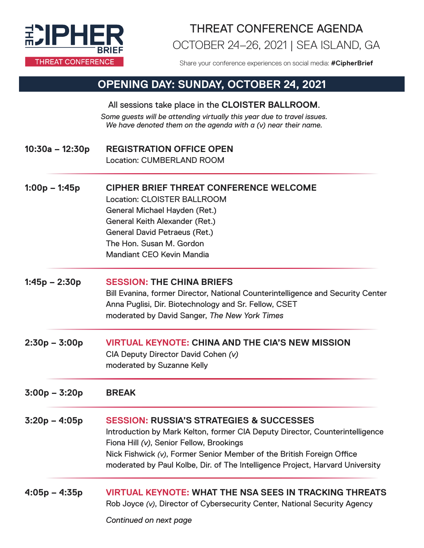

### OCTOBER 24–26, 2021 | SEA ISLAND, GA THREAT CONFERENCE AGENDA

Share your conference experiences on social media: **#CipherBrief**

#### **OPENING DAY: SUNDAY, OCTOBER 24, 2021**

All sessions take place in the **CLOISTER BALLROOM**. *Some guests will be attending virtually this year due to travel issues. We have denoted them on the agenda with a (v) near their name.*

- **10:30a 12:30p REGISTRATION OFFICE OPEN** Location: CUMBERLAND ROOM
- **1:00p 1:45p CIPHER BRIEF THREAT CONFERENCE WELCOME** Location: CLOISTER BALLROOM General Michael Hayden (Ret.) General Keith Alexander (Ret.) General David Petraeus (Ret.) The Hon. Susan M. Gordon

Mandiant CEO Kevin Mandia

- **1:45p 2:30p SESSION: THE CHINA BRIEFS** Bill Evanina, former Director, National Counterintelligence and Security Center Anna Puglisi, Dir. Biotechnology and Sr. Fellow, CSET moderated by David Sanger, *The New York Times*
- **2:30p 3:00p VIRTUAL KEYNOTE: CHINA AND THE CIA'S NEW MISSION** CIA Deputy Director David Cohen *(v)* moderated by Suzanne Kelly

**3:00p – 3:20p BREAK**

- **3:20p 4:05p SESSION: RUSSIA'S STRATEGIES & SUCCESSES** Introduction by Mark Kelton, former CIA Deputy Director, Counterintelligence Fiona Hill *(v)*, Senior Fellow, Brookings Nick Fishwick *(v)*, Former Senior Member of the British Foreign Office moderated by Paul Kolbe, Dir. of The Intelligence Project, Harvard University
- **4:05p 4:35p VIRTUAL KEYNOTE: WHAT THE NSA SEES IN TRACKING THREATS** Rob Joyce *(v)*, Director of Cybersecurity Center, National Security Agency

*Continued on next page*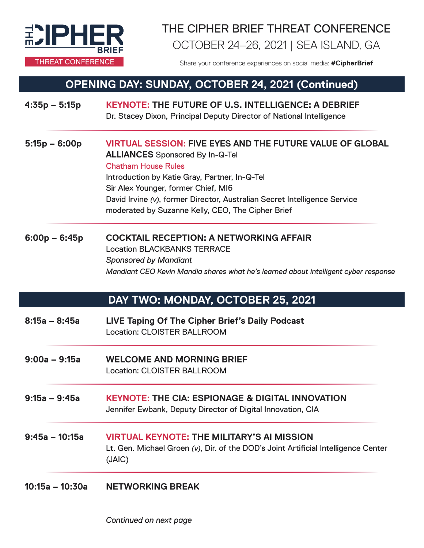

# OCTOBER 24–26, 2021 | SEA ISLAND, GA THE CIPHER BRIEF THREAT CONFERENCE

Share your conference experiences on social media: **#CipherBrief**

### **OPENING DAY: SUNDAY, OCTOBER 24, 2021 (Continued)**

| $4:35p - 5:15p$  | <b>KEYNOTE: THE FUTURE OF U.S. INTELLIGENCE: A DEBRIEF</b><br>Dr. Stacey Dixon, Principal Deputy Director of National Intelligence                                                                                                                                                                                                                                 |
|------------------|--------------------------------------------------------------------------------------------------------------------------------------------------------------------------------------------------------------------------------------------------------------------------------------------------------------------------------------------------------------------|
| $5:15p - 6:00p$  | <b>VIRTUAL SESSION: FIVE EYES AND THE FUTURE VALUE OF GLOBAL</b><br><b>ALLIANCES</b> Sponsored By In-Q-Tel<br><b>Chatham House Rules</b><br>Introduction by Katie Gray, Partner, In-Q-Tel<br>Sir Alex Younger, former Chief, MI6<br>David Irvine (v), former Director, Australian Secret Intelligence Service<br>moderated by Suzanne Kelly, CEO, The Cipher Brief |
| $6:00p - 6:45p$  | <b>COCKTAIL RECEPTION: A NETWORKING AFFAIR</b><br><b>Location BLACKBANKS TERRACE</b><br><b>Sponsored by Mandiant</b><br>Mandiant CEO Kevin Mandia shares what he's learned about intelligent cyber response                                                                                                                                                        |
|                  | DAY TWO: MONDAY, OCTOBER 25, 2021                                                                                                                                                                                                                                                                                                                                  |
| $8:15a - 8:45a$  | LIVE Taping Of The Cipher Brief's Daily Podcast<br><b>Location: CLOISTER BALLROOM</b>                                                                                                                                                                                                                                                                              |
| $9:00a - 9:15a$  | <b>WELCOME AND MORNING BRIEF</b><br><b>Location: CLOISTER BALLROOM</b>                                                                                                                                                                                                                                                                                             |
| $9:15a - 9:45a$  | <b>KEYNOTE: THE CIA: ESPIONAGE &amp; DIGITAL INNOVATION</b><br>Jennifer Ewbank, Deputy Director of Digital Innovation, CIA                                                                                                                                                                                                                                         |
| $9:45a - 10:15a$ | <b>VIRTUAL KEYNOTE: THE MILITARY'S AI MISSION</b><br>Lt. Gen. Michael Groen (v), Dir. of the DOD's Joint Artificial Intelligence Center<br>(JAIC)                                                                                                                                                                                                                  |
|                  | 10:15a – 10:30a NETWORKING BREAK                                                                                                                                                                                                                                                                                                                                   |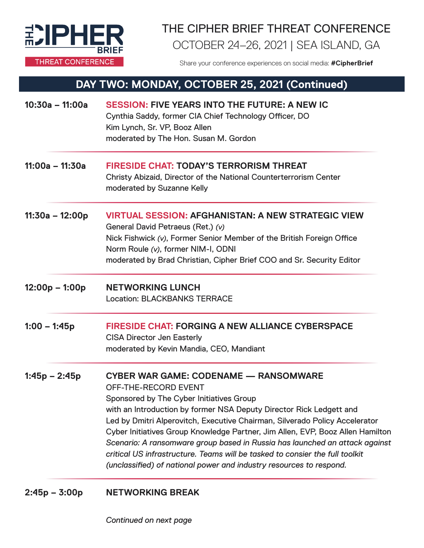

# THE CIPHER BRIEF THREAT CONFERENCE OCTOBER 24–26, 2021 | SEA ISLAND, GA

Share your conference experiences on social media: **#CipherBrief**

#### **DAY TWO: MONDAY, OCTOBER 25, 2021 (Continued)**

| $10:30a - 11:00a$ | <b>SESSION: FIVE YEARS INTO THE FUTURE: A NEW IC</b><br>Cynthia Saddy, former CIA Chief Technology Officer, DO<br>Kim Lynch, Sr. VP, Booz Allen<br>moderated by The Hon. Susan M. Gordon                                                                                                                                                                                                                                                                                                                                                                                                       |
|-------------------|------------------------------------------------------------------------------------------------------------------------------------------------------------------------------------------------------------------------------------------------------------------------------------------------------------------------------------------------------------------------------------------------------------------------------------------------------------------------------------------------------------------------------------------------------------------------------------------------|
| $11:00a - 11:30a$ | <b>FIRESIDE CHAT: TODAY'S TERRORISM THREAT</b><br>Christy Abizaid, Director of the National Counterterrorism Center<br>moderated by Suzanne Kelly                                                                                                                                                                                                                                                                                                                                                                                                                                              |
| $11:30a - 12:00p$ | <b>VIRTUAL SESSION: AFGHANISTAN: A NEW STRATEGIC VIEW</b><br>General David Petraeus (Ret.) (v)<br>Nick Fishwick (v), Former Senior Member of the British Foreign Office<br>Norm Roule (v), former NIM-I, ODNI<br>moderated by Brad Christian, Cipher Brief COO and Sr. Security Editor                                                                                                                                                                                                                                                                                                         |
| $12:00p - 1:00p$  | <b>NETWORKING LUNCH</b><br><b>Location: BLACKBANKS TERRACE</b>                                                                                                                                                                                                                                                                                                                                                                                                                                                                                                                                 |
| $1:00 - 1:45p$    | <b>FIRESIDE CHAT: FORGING A NEW ALLIANCE CYBERSPACE</b><br><b>CISA Director Jen Easterly</b><br>moderated by Kevin Mandia, CEO, Mandiant                                                                                                                                                                                                                                                                                                                                                                                                                                                       |
| $1:45p - 2:45p$   | <b>CYBER WAR GAME: CODENAME - RANSOMWARE</b><br>OFF-THE-RECORD EVENT<br>Sponsored by The Cyber Initiatives Group<br>with an Introduction by former NSA Deputy Director Rick Ledgett and<br>Led by Dmitri Alperovitch, Executive Chairman, Silverado Policy Accelerator<br>Cyber Initiatives Group Knowledge Partner, Jim Allen, EVP, Booz Allen Hamilton<br>Scenario: A ransomware group based in Russia has launched an attack against<br>critical US infrastructure. Teams will be tasked to consier the full toolkit<br>(unclassified) of national power and industry resources to respond. |

**2:45p – 3:00p NETWORKING BREAK** 

*Continued on next page*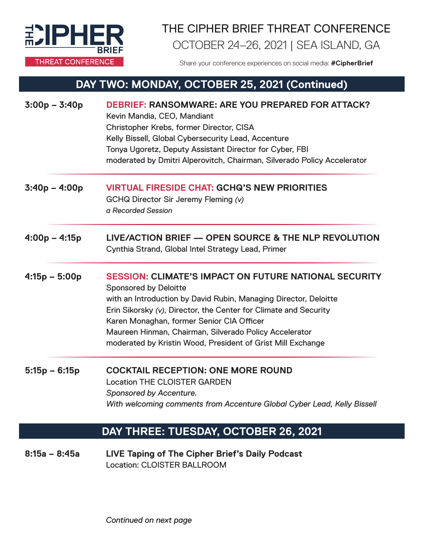

# THE CIPHER BRIEF THREAT CONFERENCE OCTOBER 24–26, 2021 | SEA ISLAND, GA

Share your conference experiences on social media: **#CipherBrief**

### **DAY TWO: MONDAY, OCTOBER 25, 2021 (Continued)**

| $3:00p - 3:40p$ | DEBRIEF: RANSOMWARE: ARE YOU PREPARED FOR ATTACK?<br>Kevin Mandia, CEO, Mandiant<br>Christopher Krebs, former Director, CISA<br>Kelly Bissell, Global Cybersecurity Lead, Accenture<br>Tonya Ugoretz, Deputy Assistant Director for Cyber, FBI<br>moderated by Dmitri Alperovitch, Chairman, Silverado Policy Accelerator                                                                                  |
|-----------------|------------------------------------------------------------------------------------------------------------------------------------------------------------------------------------------------------------------------------------------------------------------------------------------------------------------------------------------------------------------------------------------------------------|
| $3:40p - 4:00p$ | <b>VIRTUAL FIRESIDE CHAT: GCHQ'S NEW PRIORITIES</b><br>GCHQ Director Sir Jeremy Fleming (v)<br>a Recorded Session                                                                                                                                                                                                                                                                                          |
| $4:00p - 4:15p$ | LIVE/ACTION BRIEF — OPEN SOURCE & THE NLP REVOLUTION<br>Cynthia Strand, Global Intel Strategy Lead, Primer                                                                                                                                                                                                                                                                                                 |
| $4:15p - 5:00p$ | <b>SESSION: CLIMATE'S IMPACT ON FUTURE NATIONAL SECURITY</b><br><b>Sponsored by Deloitte</b><br>with an Introduction by David Rubin, Managing Director, Deloitte<br>Erin Sikorsky (v), Director, the Center for Climate and Security<br>Karen Monaghan, former Senior CIA Officer<br>Maureen Hinman, Chairman, Silverado Policy Accelerator<br>moderated by Kristin Wood, President of Grist Mill Exchange |
| $5:15p - 6:15p$ | <b>COCKTAIL RECEPTION: ONE MORE ROUND</b><br><b>Location THE CLOISTER GARDEN</b><br>Sponsored by Accenture.<br>With welcoming comments from Accenture Global Cyber Lead, Kelly Bissell                                                                                                                                                                                                                     |
|                 | DAY THREE: TUESDAY, OCTOBER 26, 2021                                                                                                                                                                                                                                                                                                                                                                       |
| $8:15a - 8:45a$ | LIVE Taping of The Cipher Brief's Daily Podcast<br>Location: CLOISTER BALLROOM                                                                                                                                                                                                                                                                                                                             |